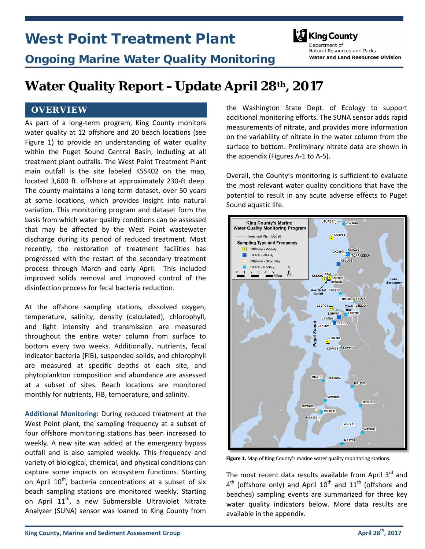# West Point Treatment Plant



Ongoing Marine Water Quality Monitoring

Denartment of Natural Resources and Parks **Water and Land Resources Division** 

## **Water Quality Report –Update April 28th, 2017**

## **OVERVIEW**

As part of a long-term program, King County monitors water quality at 12 offshore and 20 beach locations (see Figure 1) to provide an understanding of water quality within the Puget Sound Central Basin, including at all treatment plant outfalls. The West Point Treatment Plant main outfall is the site labeled KSSK02 on the map, located 3,600 ft. offshore at approximately 230-ft deep. The county maintains a long-term dataset, over 50 years at some locations, which provides insight into natural variation. This monitoring program and dataset form the basis from which water quality conditions can be assessed that may be affected by the West Point wastewater discharge during its period of reduced treatment. Most recently, the restoration of treatment facilities has progressed with the restart of the secondary treatment process through March and early April. This included improved solids removal and improved control of the disinfection process for fecal bacteria reduction.

At the offshore sampling stations, dissolved oxygen, temperature, salinity, density (calculated), chlorophyll, and light intensity and transmission are measured throughout the entire water column from surface to bottom every two weeks. Additionally, nutrients, fecal indicator bacteria (FIB), suspended solids, and chlorophyll are measured at specific depths at each site, and phytoplankton composition and abundance are assessed at a subset of sites. Beach locations are monitored monthly for nutrients, FIB, temperature, and salinity.

**Additional Monitoring:** During reduced treatment at the West Point plant, the sampling frequency at a subset of four offshore monitoring stations has been increased to weekly. A new site was added at the emergency bypass outfall and is also sampled weekly. This frequency and variety of biological, chemical, and physical conditions can capture some impacts on ecosystem functions. Starting on April  $10^{th}$ , bacteria concentrations at a subset of six beach sampling stations are monitored weekly. Starting on April  $11^{th}$ , a new Submersible Ultraviolet Nitrate Analyzer (SUNA) sensor was loaned to King County from

the Washington State Dept. of Ecology to support additional monitoring efforts. The SUNA sensor adds rapid measurements of nitrate, and provides more information on the variability of nitrate in the water column from the surface to bottom. Preliminary nitrate data are shown in the appendix (Figures A-1 to A-5).

Overall, the County's monitoring is sufficient to evaluate the most relevant water quality conditions that have the potential to result in any acute adverse effects to Puget Sound aquatic life.



Figure 1. Map of King County's marine water quality monitoring stations.

The most recent data results available from April  $3<sup>rd</sup>$  and  $4<sup>th</sup>$  (offshore only) and April  $10<sup>th</sup>$  and  $11<sup>th</sup>$  (offshore and beaches) sampling events are summarized for three key water quality indicators below. More data results are available in the appendix.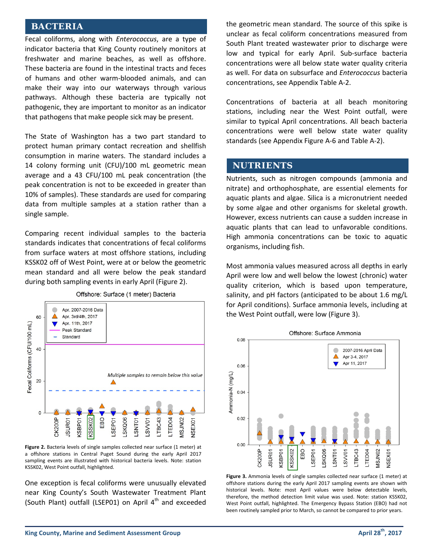#### **BACTERIA**

Fecal coliforms, along with *Enterococcus*, are a type of indicator bacteria that King County routinely monitors at freshwater and marine beaches, as well as offshore. These bacteria are found in the intestinal tracts and feces of humans and other warm-blooded animals, and can make their way into our waterways through various pathways. Although these bacteria are typically not pathogenic, they are important to monitor as an indicator that pathogens that make people sick may be present.

The State of Washington has a two part standard to protect human primary contact recreation and shellfish consumption in marine waters. The standard includes a 14 colony forming unit (CFU)/100 mL geometric mean average and a 43 CFU/100 mL peak concentration (the peak concentration is not to be exceeded in greater than 10% of samples). These standards are used for comparing data from multiple samples at a station rather than a single sample.

Comparing recent individual samples to the bacteria standards indicates that concentrations of fecal coliforms from surface waters at most offshore stations, including KSSK02 off of West Point, were at or below the geometric mean standard and all were below the peak standard during both sampling events in early April (Figure 2).



Offshore: Surface (1 meter) Bacteria

**Figure 2.** Bacteria levels of single samples collected near surface (1 meter) at a offshore stations in Central Puget Sound during the early April 2017 sampling events are illustrated with historical bacteria levels. Note: station KSSK02, West Point outfall, highlighted.

One exception is fecal coliforms were unusually elevated near King County's South Wastewater Treatment Plant (South Plant) outfall (LSEP01) on April  $4<sup>th</sup>$  and exceeded

the geometric mean standard. The source of this spike is unclear as fecal coliform concentrations measured from South Plant treated wastewater prior to discharge were low and typical for early April. Sub-surface bacteria concentrations were all below state water quality criteria as well. For data on subsurface and *Enterococcus* bacteria concentrations, see Appendix Table A-2.

Concentrations of bacteria at all beach monitoring stations, including near the West Point outfall, were similar to typical April concentrations. All beach bacteria concentrations were well below state water quality standards (see Appendix Figure A-6 and Table A-2).

#### **NUTRIENTS**

Nutrients, such as nitrogen compounds (ammonia and nitrate) and orthophosphate, are essential elements for aquatic plants and algae. Silica is a micronutrient needed by some algae and other organisms for skeletal growth. However, excess nutrients can cause a sudden increase in aquatic plants that can lead to unfavorable conditions. High ammonia concentrations can be toxic to aquatic organisms, including fish.

Most ammonia values measured across all depths in early April were low and well below the lowest (chronic) water quality criterion, which is based upon temperature, salinity, and pH factors (anticipated to be about 1.6 mg/L for April conditions). Surface ammonia levels, including at the West Point outfall, were low (Figure 3).



Figure 3. Ammonia levels of single samples collected near surface (1 meter) at offshore stations during the early April 2017 sampling events are shown with historical levels. Note: most April values were below detectable levels, therefore, the method detection limit value was used. Note: station KSSK02, West Point outfall, highlighted. The Emergency Bypass Station (EBO) had not been routinely sampled prior to March, so cannot be compared to prior years.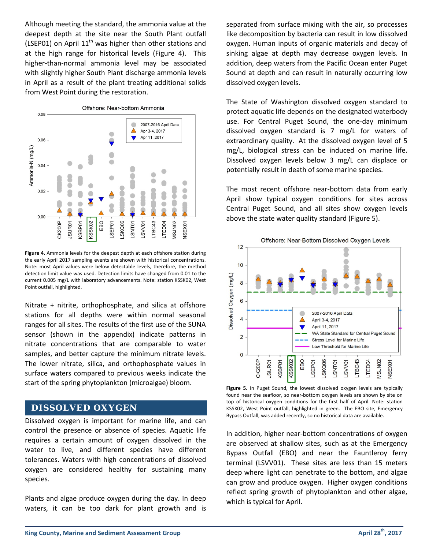Although meeting the standard, the ammonia value at the deepest depth at the site near the South Plant outfall (LSEP01) on April  $11<sup>th</sup>$  was higher than other stations and at the high range for historical levels (Figure 4). This higher-than-normal ammonia level may be associated with slightly higher South Plant discharge ammonia levels in April as a result of the plant treating additional solids from West Point during the restoration.



**Figure 4.** Ammonia levels for the deepest depth at each offshore station during the early April 2017 sampling events are shown with historical concentrations. Note: most April values were below detectable levels, therefore, the method detection limit value was used. Detection limits have changed from 0.01 to the current 0.005 mg/L with laboratory advancements. Note: station KSSK02, West Point outfall, highlighted.

Nitrate + nitrite, orthophosphate, and silica at offshore stations for all depths were within normal seasonal ranges for all sites. The results of the first use of the SUNA sensor (shown in the appendix) indicate patterns in nitrate concentrations that are comparable to water samples, and better capture the minimum nitrate levels. The lower nitrate, silica, and orthophosphate values in surface waters compared to previous weeks indicate the start of the spring phytoplankton (microalgae) bloom.

#### **DISSOLVED OXYGEN**

Dissolved oxygen is important for marine life, and can control the presence or absence of species. Aquatic life requires a certain amount of oxygen dissolved in the water to live, and different species have different tolerances. Waters with high concentrations of dissolved oxygen are considered healthy for sustaining many species.

Plants and algae produce oxygen during the day. In deep waters, it can be too dark for plant growth and is

separated from surface mixing with the air, so processes like decomposition by bacteria can result in low dissolved oxygen. Human inputs of organic materials and decay of sinking algae at depth may decrease oxygen levels. In addition, deep waters from the Pacific Ocean enter Puget Sound at depth and can result in naturally occurring low dissolved oxygen levels.

The State of Washington dissolved oxygen standard to protect aquatic life depends on the designated waterbody use. For Central Puget Sound, the one-day minimum dissolved oxygen standard is 7 mg/L for waters of extraordinary quality. At the dissolved oxygen level of 5 mg/L, biological stress can be induced on marine life. Dissolved oxygen levels below 3 mg/L can displace or potentially result in death of some marine species.

The most recent offshore near-bottom data from early April show typical oxygen conditions for sites across Central Puget Sound, and all sites show oxygen levels above the state water quality standard (Figure 5).



**Figure 5.** In Puget Sound, the lowest dissolved oxygen levels are typically found near the seafloor, so near-bottom oxygen levels are shown by site on top of historical oxygen conditions for the first half of April. Note: station KSSK02, West Point outfall, highlighted in green. The EBO site, Emergency Bypass Outfall, was added recently, so no historical data are available.

In addition, higher near-bottom concentrations of oxygen are observed at shallow sites, such as at the Emergency Bypass Outfall (EBO) and near the Fauntleroy ferry terminal (LSVV01). These sites are less than 15 meters deep where light can penetrate to the bottom, and algae can grow and produce oxygen. Higher oxygen conditions reflect spring growth of phytoplankton and other algae, which is typical for April.